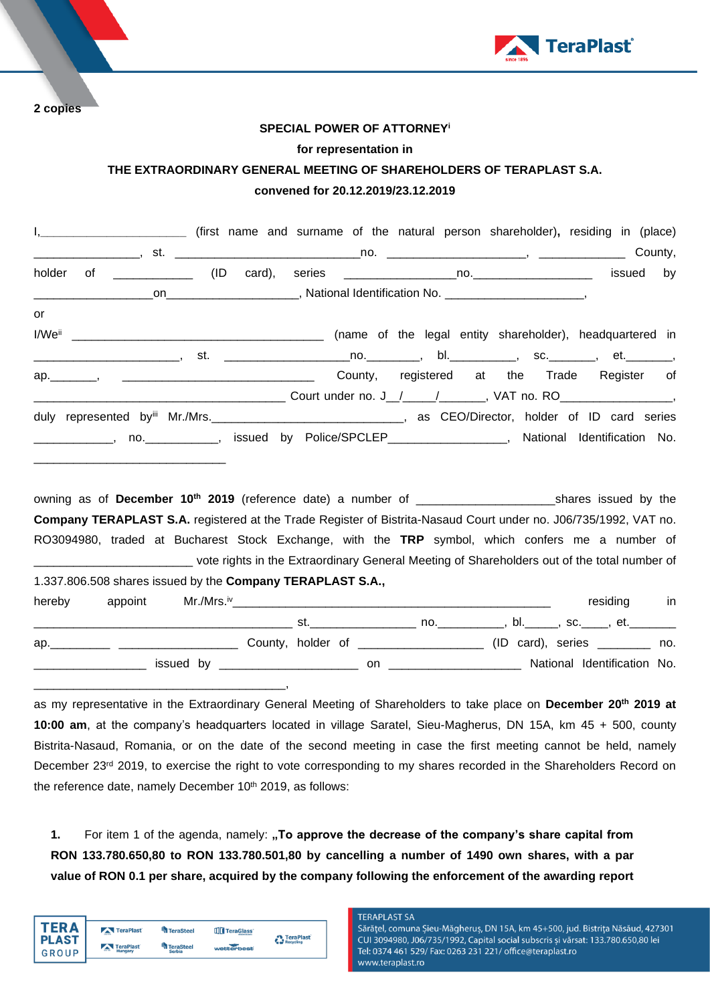

**2 copies**

## **SPECIAL POWER OF ATTORNEY<sup>i</sup>**

### **for representation in**

# **THE EXTRAORDINARY GENERAL MEETING OF SHAREHOLDERS OF TERAPLAST S.A. convened for 20.12.2019/23.12.2019**

|        |  |  | I, ____________________________ (first name and surname of the natural person shareholder), residing in (place)      |  |                                                          |           |         |
|--------|--|--|----------------------------------------------------------------------------------------------------------------------|--|----------------------------------------------------------|-----------|---------|
|        |  |  |                                                                                                                      |  |                                                          |           | County, |
| holder |  |  |                                                                                                                      |  |                                                          | issued by |         |
|        |  |  |                                                                                                                      |  |                                                          |           |         |
| or     |  |  |                                                                                                                      |  |                                                          |           |         |
|        |  |  |                                                                                                                      |  | (name of the legal entity shareholder), headquartered in |           |         |
|        |  |  | __________________________, st.  ___________________________________, bl.______________, sc.__________, et._________ |  |                                                          |           |         |
|        |  |  | ap. Manuscript Arena Arena County, registered at the Trade Register of                                               |  |                                                          |           |         |
|        |  |  |                                                                                                                      |  |                                                          |           |         |
|        |  |  | duly represented by Mr./Mrs. CEO/Director, holder of ID card series                                                  |  |                                                          |           |         |
|        |  |  | _____________, no. ____________, issued by Police/SPCLEP__________________, National Identification No.              |  |                                                          |           |         |
|        |  |  |                                                                                                                      |  |                                                          |           |         |
|        |  |  |                                                                                                                      |  |                                                          |           |         |
|        |  |  |                                                                                                                      |  |                                                          |           |         |
|        |  |  | Company TERAPLAST S.A. registered at the Trade Register of Bistrita-Nasaud Court under no. J06/735/1992, VAT no.     |  |                                                          |           |         |

RO3094980, traded at Bucharest Stock Exchange, with the **TRP** symbol, which confers me a number of \_\_\_\_\_\_\_\_\_\_\_\_\_\_\_\_\_\_\_\_\_\_\_\_ vote rights in the Extraordinary General Meeting of Shareholders out of the total number of 1.337.806.508 shares issued by the **Company TERAPLAST S.A.,**

| hereby | appoint | Mr./Mrs.™                          |     |     |                                    |  | residing                          | in  |
|--------|---------|------------------------------------|-----|-----|------------------------------------|--|-----------------------------------|-----|
|        |         |                                    | St. |     | no.                                |  | bl._______, sc._____, et.________ |     |
|        |         |                                    |     |     | County, holder of ________________ |  |                                   | no. |
|        |         | issued by ________________________ |     | on. |                                    |  | National Identification No.       |     |
|        |         |                                    |     |     |                                    |  |                                   |     |

as my representative in the Extraordinary General Meeting of Shareholders to take place on **December 20 th 2019 at 10:00 am**, at the company's headquarters located in village Saratel, Sieu-Magherus, DN 15A, km 45 + 500, county Bistrita-Nasaud, Romania, or on the date of the second meeting in case the first meeting cannot be held, namely December 23<sup>rd</sup> 2019, to exercise the right to vote corresponding to my shares recorded in the Shareholders Record on the reference date, namely December  $10<sup>th</sup>$  2019, as follows:

**1.** For item 1 of the agenda, namely: **"To approve the decrease of the company's share capital from RON 133.780.650,80 to RON 133.780.501,80 by cancelling a number of 1490 own shares, with a par value of RON 0.1 per share, acquired by the company following the enforcement of the awarding report** 

| TFR A                        | TeraPlast            | <sup>4</sup> TeraSteel     | TeraGlass  | <b>A</b> TeraPlast |
|------------------------------|----------------------|----------------------------|------------|--------------------|
| <b>PLAST</b><br><b>GROUP</b> | TeraPlast<br>Hungary | TeraSteel<br><b>Serbia</b> | wetterbest | Recycling          |

#### **TERAPLAST SA**

Sărățel, comuna Șieu-Măgheruș, DN 15A, km 45+500, jud. Bistrița Năsăud, 427301 CUI 3094980, J06/735/1992, Capital social subscris și vărsat: 133.780.650,80 lei Tel: 0374 461 529/ Fax: 0263 231 221/ office@teraplast.ro www.teraplast.ro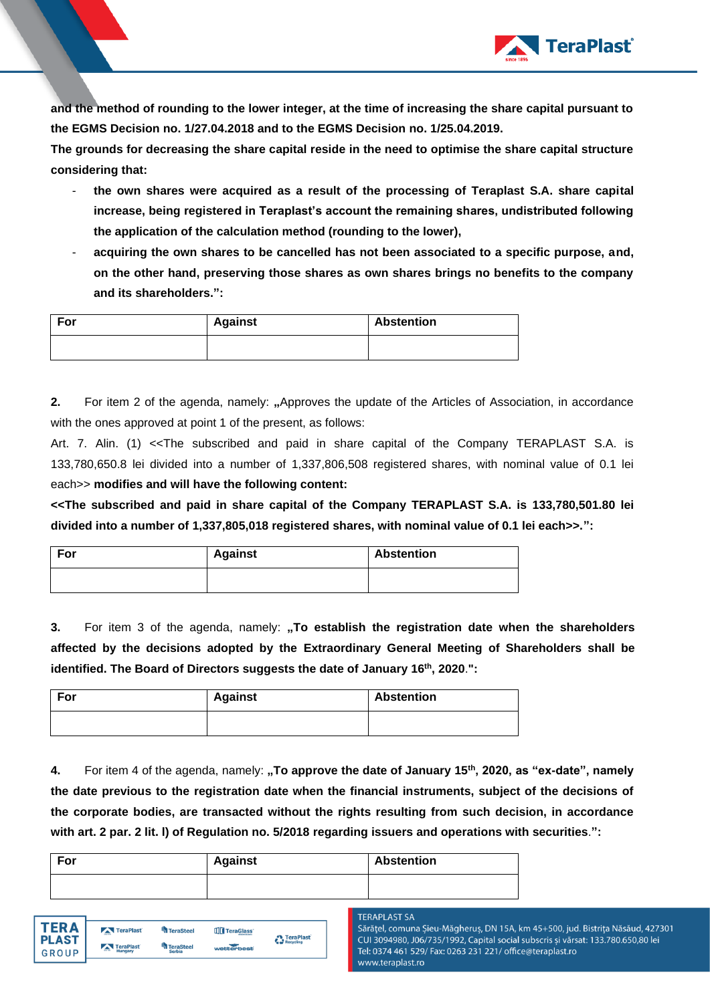

**and the method of rounding to the lower integer, at the time of increasing the share capital pursuant to the EGMS Decision no. 1/27.04.2018 and to the EGMS Decision no. 1/25.04.2019.**

**The grounds for decreasing the share capital reside in the need to optimise the share capital structure considering that:**

- **the own shares were acquired as a result of the processing of Teraplast S.A. share capital increase, being registered in Teraplast's account the remaining shares, undistributed following the application of the calculation method (rounding to the lower),**
- **acquiring the own shares to be cancelled has not been associated to a specific purpose, and, on the other hand, preserving those shares as own shares brings no benefits to the company and its shareholders.":**

| For | <b>Against</b> | <b>Abstention</b> |
|-----|----------------|-------------------|
|     |                |                   |

**2.** For item 2 of the agenda, namely: "Approves the update of the Articles of Association, in accordance with the ones approved at point 1 of the present, as follows:

Art. 7. Alin. (1) <<The subscribed and paid in share capital of the Company TERAPLAST S.A. is 133,780,650.8 lei divided into a number of 1,337,806,508 registered shares, with nominal value of 0.1 lei each>> **modifies and will have the following content:**

**<<The subscribed and paid in share capital of the Company TERAPLAST S.A. is 133,780,501.80 lei divided into a number of 1,337,805,018 registered shares, with nominal value of 0.1 lei each>>.":**

| For | <b>Against</b> | <b>Abstention</b> |
|-----|----------------|-------------------|
|     |                |                   |

**3.** For item 3 of the agenda, namely: "To establish the registration date when the shareholders **affected by the decisions adopted by the Extraordinary General Meeting of Shareholders shall be identified. The Board of Directors suggests the date of January 16th, 2020**.**":**

| For | <b>Against</b> | <b>Abstention</b> |
|-----|----------------|-------------------|
|     |                |                   |

**4.** For item 4 of the agenda, namely: **"To approve the date of January 15th, 2020, as "ex-date", namely the date previous to the registration date when the financial instruments, subject of the decisions of the corporate bodies, are transacted without the rights resulting from such decision, in accordance with art. 2 par. 2 lit. l) of Regulation no. 5/2018 regarding issuers and operations with securities**.**":**

| For | <b>Against</b> | <b>Abstention</b> |
|-----|----------------|-------------------|
|     |                |                   |

#### **TERAPLAST SA** Sărățel, comuna Șieu-Măgheruș, DN 15A, km 45+500, jud. Bistrița Năsăud, 427301 CUI 3094980, J06/735/1992, Capital social subscris și vărsat: 133.780.650,80 lei Tel: 0374 461 529/ Fax: 0263 231 221/ office@teraplast.ro www.teraplast.ro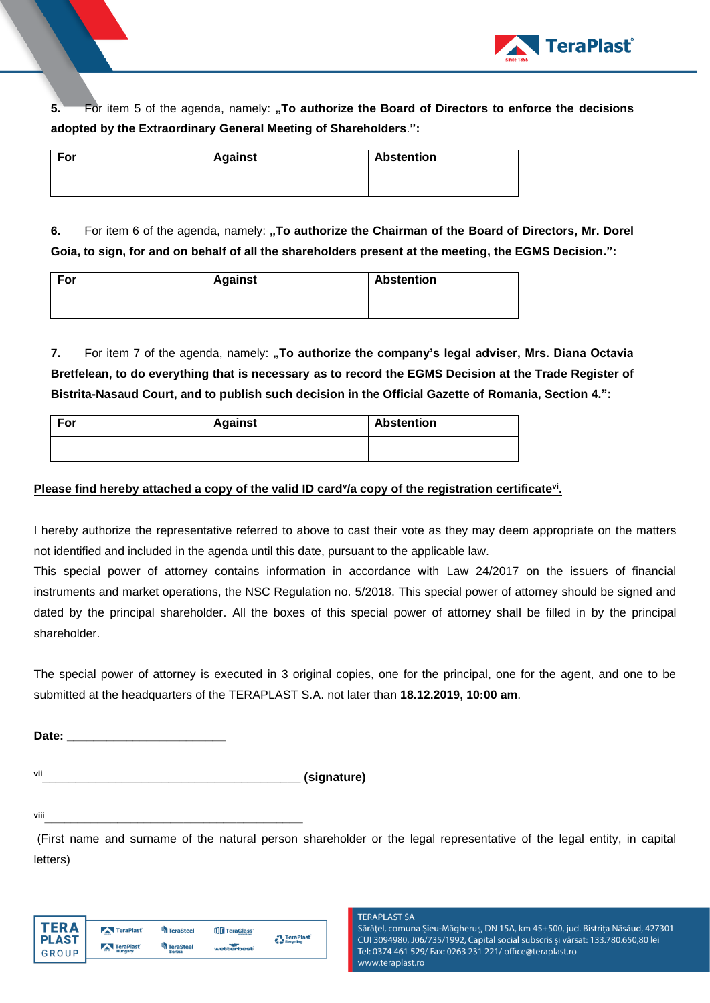

**5.** For item 5 of the agenda, namely: **"To authorize the Board of Directors to enforce the decisions adopted by the Extraordinary General Meeting of Shareholders**.**":**

| For | <b>Against</b> | <b>Abstention</b> |
|-----|----------------|-------------------|
|     |                |                   |

**6.** For item 6 of the agenda, namely: "To authorize the Chairman of the Board of Directors, Mr. Dorel **Goia, to sign, for and on behalf of all the shareholders present at the meeting, the EGMS Decision.":** 

| For | <b>Against</b> | <b>Abstention</b> |
|-----|----------------|-------------------|
|     |                |                   |

**7.** For item 7 of the agenda, namely: "To authorize the company's legal adviser, Mrs. Diana Octavia **Bretfelean, to do everything that is necessary as to record the EGMS Decision at the Trade Register of Bistrita-Nasaud Court, and to publish such decision in the Official Gazette of Romania, Section 4.":**

| For | <b>Against</b> | <b>Abstention</b> |
|-----|----------------|-------------------|
|     |                |                   |

## **Please find hereby attached a copy of the valid ID card<sup>y</sup>/a copy of the registration certificate<sup>vi</sup>.**

I hereby authorize the representative referred to above to cast their vote as they may deem appropriate on the matters not identified and included in the agenda until this date, pursuant to the applicable law.

This special power of attorney contains information in accordance with Law 24/2017 on the issuers of financial instruments and market operations, the NSC Regulation no. 5/2018. This special power of attorney should be signed and dated by the principal shareholder. All the boxes of this special power of attorney shall be filled in by the principal shareholder.

The special power of attorney is executed in 3 original copies, one for the principal, one for the agent, and one to be submitted at the headquarters of the TERAPLAST S.A. not later than **18.12.2019, 10:00 am**.

Date:

**vii\_\_\_\_\_\_\_\_\_\_\_\_\_\_\_\_\_\_\_\_\_\_\_\_\_\_\_\_\_\_\_\_\_\_\_\_\_\_\_ (signature)**

**viii\_\_\_\_\_\_\_\_\_\_\_\_\_\_\_\_\_\_\_\_\_\_\_\_\_\_\_\_\_\_\_\_\_\_\_\_\_\_\_**

(First name and surname of the natural person shareholder or the legal representative of the legal entity, in capital letters)

| FRΔ          | TeraPlast                             | <b>TeraSteel</b> | TeraGlass  | <b>A</b> TeraPlast |
|--------------|---------------------------------------|------------------|------------|--------------------|
| <b>PLAST</b> | <b>A</b><br>TeraPlast<br><b>COLOR</b> | <b>TeraSteel</b> | wetterbest | Recycling          |
| <b>GROUP</b> | Hungary                               | <b>Serbia</b>    |            |                    |